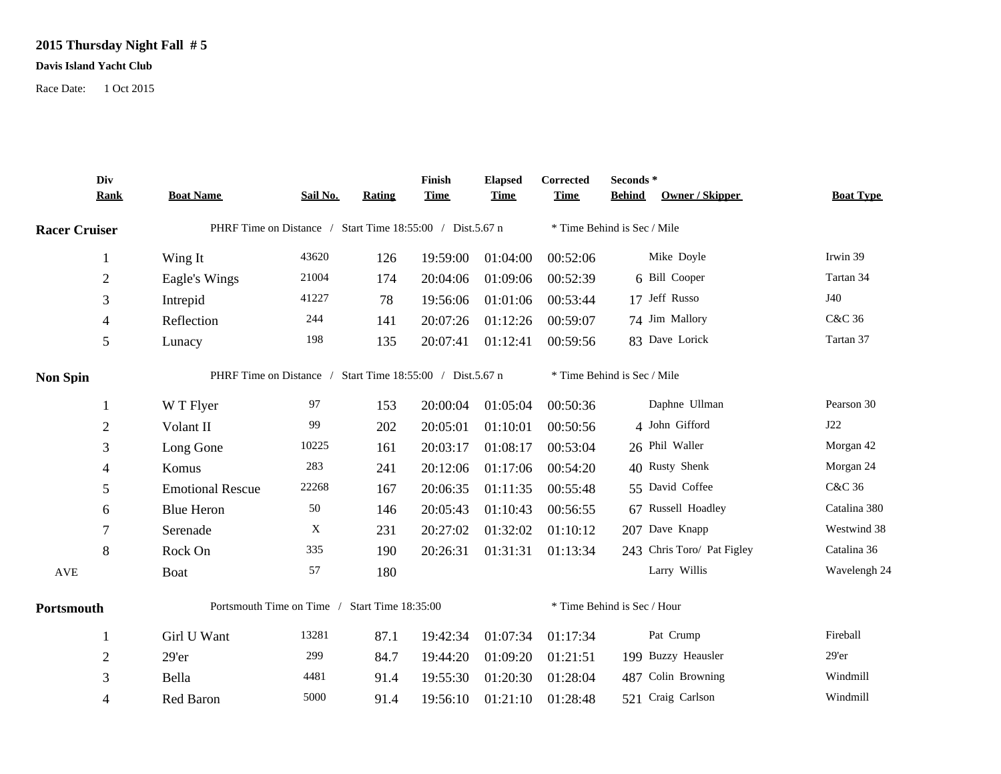## **2015 Thursday Night Fall # 5**

## **Davis Island Yacht Club**

Race Date: 1 Oct 2015

|                      | Div<br><b>Rank</b> | <b>Boat Name</b>                                          | Sail No. | Rating | Finish<br><b>Time</b> | <b>Elapsed</b><br><b>Time</b> | Corrected<br><b>Time</b> | Seconds*<br><b>Behind</b><br>Owner / Skipper | <b>Boat Type</b> |
|----------------------|--------------------|-----------------------------------------------------------|----------|--------|-----------------------|-------------------------------|--------------------------|----------------------------------------------|------------------|
| <b>Racer Cruiser</b> |                    | PHRF Time on Distance / Start Time 18:55:00 / Dist.5.67 n |          |        |                       |                               |                          | * Time Behind is Sec / Mile                  |                  |
|                      | $\mathbf{1}$       | Wing It                                                   | 43620    | 126    | 19:59:00              | 01:04:00                      | 00:52:06                 | Mike Doyle                                   | Irwin 39         |
|                      | $\overline{2}$     | Eagle's Wings                                             | 21004    | 174    | 20:04:06              | 01:09:06                      | 00:52:39                 | 6 Bill Cooper                                | Tartan 34        |
|                      | 3                  | Intrepid                                                  | 41227    | 78     | 19:56:06              | 01:01:06                      | 00:53:44                 | 17 Jeff Russo                                | J40              |
|                      | $\overline{4}$     | Reflection                                                | 244      | 141    | 20:07:26              | 01:12:26                      | 00:59:07                 | 74 Jim Mallory                               | C&C 36           |
|                      | 5                  | Lunacy                                                    | 198      | 135    | 20:07:41              | 01:12:41                      | 00:59:56                 | 83 Dave Lorick                               | Tartan 37        |
| <b>Non Spin</b>      |                    | PHRF Time on Distance / Start Time 18:55:00 / Dist.5.67 n |          |        |                       | * Time Behind is Sec / Mile   |                          |                                              |                  |
|                      | -1                 | W T Flyer                                                 | 97       | 153    | 20:00:04              | 01:05:04                      | 00:50:36                 | Daphne Ullman                                | Pearson 30       |
|                      | $\overline{2}$     | Volant II                                                 | 99       | 202    | 20:05:01              | 01:10:01                      | 00:50:56                 | 4 John Gifford                               | J22              |
|                      | 3                  | Long Gone                                                 | 10225    | 161    | 20:03:17              | 01:08:17                      | 00:53:04                 | 26 Phil Waller                               | Morgan 42        |
|                      | 4                  | Komus                                                     | 283      | 241    | 20:12:06              | 01:17:06                      | 00:54:20                 | 40 Rusty Shenk                               | Morgan 24        |
|                      | 5                  | <b>Emotional Rescue</b>                                   | 22268    | 167    | 20:06:35              | 01:11:35                      | 00:55:48                 | 55 David Coffee                              | C&C 36           |
|                      | 6                  | <b>Blue Heron</b>                                         | 50       | 146    | 20:05:43              | 01:10:43                      | 00:56:55                 | 67 Russell Hoadley                           | Catalina 380     |
|                      | 7                  | Serenade                                                  | X        | 231    | 20:27:02              | 01:32:02                      | 01:10:12                 | 207 Dave Knapp                               | Westwind 38      |
|                      | 8                  | Rock On                                                   | 335      | 190    | 20:26:31              | 01:31:31                      | 01:13:34                 | 243 Chris Toro/ Pat Figley                   | Catalina 36      |
| AVE                  |                    | Boat                                                      | 57       | 180    |                       |                               |                          | Larry Willis                                 | Wavelengh 24     |
| Portsmouth           |                    | Portsmouth Time on Time / Start Time 18:35:00             |          |        |                       |                               |                          | * Time Behind is Sec / Hour                  |                  |
|                      |                    | Girl U Want                                               | 13281    | 87.1   | 19:42:34              | 01:07:34                      | 01:17:34                 | Pat Crump                                    | Fireball         |
|                      | $\overline{2}$     | 29'er                                                     | 299      | 84.7   | 19:44:20              | 01:09:20                      | 01:21:51                 | 199 Buzzy Heausler                           | $29'$ er         |
|                      | 3                  | Bella                                                     | 4481     | 91.4   | 19:55:30              | 01:20:30                      | 01:28:04                 | 487 Colin Browning                           | Windmill         |
|                      | 4                  | Red Baron                                                 | 5000     | 91.4   | 19:56:10              | 01:21:10                      | 01:28:48                 | 521 Craig Carlson                            | Windmill         |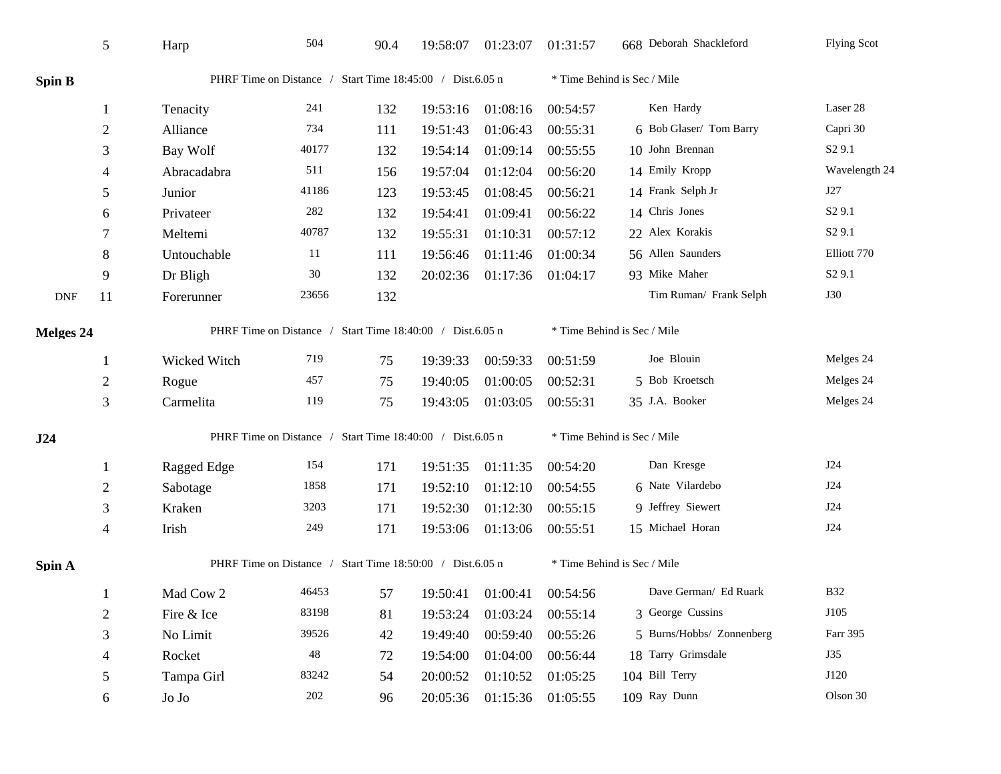|                             | 5              | Harp                                                      | 504   | 90.4                                                      | 19:58:07                    | 01:23:07 | 01:31:57                    | 668 Deborah Shackleford     | <b>Flying Scot</b> |  |
|-----------------------------|----------------|-----------------------------------------------------------|-------|-----------------------------------------------------------|-----------------------------|----------|-----------------------------|-----------------------------|--------------------|--|
| <b>Spin B</b>               |                |                                                           |       | PHRF Time on Distance / Start Time 18:45:00 / Dist.6.05 n |                             |          |                             | * Time Behind is Sec / Mile |                    |  |
|                             | $\mathbf{1}$   | Tenacity                                                  | 241   | 132                                                       | 19:53:16                    | 01:08:16 | 00:54:57                    | Ken Hardy                   | Laser 28           |  |
|                             | $\overline{2}$ | Alliance                                                  | 734   | 111                                                       | 19:51:43                    | 01:06:43 | 00:55:31                    | 6 Bob Glaser/ Tom Barry     | Capri 30           |  |
|                             | 3              | Bay Wolf                                                  | 40177 | 132                                                       | 19:54:14                    | 01:09:14 | 00:55:55                    | 10 John Brennan             | S <sub>2</sub> 9.1 |  |
|                             | $\overline{4}$ | Abracadabra                                               | 511   | 156                                                       | 19:57:04                    | 01:12:04 | 00:56:20                    | 14 Emily Kropp              | Wavelength 24      |  |
|                             | 5              | Junior                                                    | 41186 | 123                                                       | 19:53:45                    | 01:08:45 | 00:56:21                    | 14 Frank Selph Jr           | J27                |  |
|                             | 6              | Privateer                                                 | 282   | 132                                                       | 19:54:41                    | 01:09:41 | 00:56:22                    | 14 Chris Jones              | S <sub>2</sub> 9.1 |  |
|                             | 7              | Meltemi                                                   | 40787 | 132                                                       | 19:55:31                    | 01:10:31 | 00:57:12                    | 22 Alex Korakis             | S <sub>2</sub> 9.1 |  |
|                             | 8              | Untouchable                                               | 11    | 111                                                       | 19:56:46                    | 01:11:46 | 01:00:34                    | 56 Allen Saunders           | Elliott 770        |  |
|                             | 9              | Dr Bligh                                                  | 30    | 132                                                       | 20:02:36                    | 01:17:36 | 01:04:17                    | 93 Mike Maher               | S <sub>2</sub> 9.1 |  |
| $\ensuremath{\mathsf{DNF}}$ | 11             | Forerunner                                                | 23656 | 132                                                       |                             |          |                             | Tim Ruman/ Frank Selph      | <b>J30</b>         |  |
| Melges 24                   |                | PHRF Time on Distance / Start Time 18:40:00 / Dist.6.05 n |       |                                                           |                             |          | * Time Behind is Sec / Mile |                             |                    |  |
|                             |                | Wicked Witch                                              | 719   | 75                                                        | 19:39:33                    | 00:59:33 | 00:51:59                    | Joe Blouin                  | Melges 24          |  |
|                             | $\overline{2}$ | Rogue                                                     | 457   | 75                                                        | 19:40:05                    | 01:00:05 | 00:52:31                    | 5 Bob Kroetsch              | Melges 24          |  |
|                             | 3              | Carmelita                                                 | 119   | 75                                                        | 19:43:05                    | 01:03:05 | 00:55:31                    | 35 J.A. Booker              | Melges 24          |  |
| J24                         |                | PHRF Time on Distance / Start Time 18:40:00 / Dist.6.05 n |       |                                                           | * Time Behind is Sec / Mile |          |                             |                             |                    |  |
|                             | -1             | Ragged Edge                                               | 154   | 171                                                       | 19:51:35                    | 01:11:35 | 00:54:20                    | Dan Kresge                  | J24                |  |
|                             | $\overline{c}$ | Sabotage                                                  | 1858  | 171                                                       | 19:52:10                    | 01:12:10 | 00:54:55                    | 6 Nate Vilardebo            | J24                |  |
|                             | 3              | Kraken                                                    | 3203  | 171                                                       | 19:52:30                    | 01:12:30 | 00:55:15                    | 9 Jeffrey Siewert           | J24                |  |
|                             | $\overline{4}$ | Irish                                                     | 249   | 171                                                       | 19:53:06                    | 01:13:06 | 00:55:51                    | 15 Michael Horan            | J24                |  |
| Spin A                      |                | PHRF Time on Distance / Start Time 18:50:00 / Dist.6.05 n |       |                                                           |                             |          | * Time Behind is Sec / Mile |                             |                    |  |
|                             |                | Mad Cow 2                                                 | 46453 | 57                                                        | 19:50:41                    | 01:00:41 | 00:54:56                    | Dave German/ Ed Ruark       | <b>B32</b>         |  |
|                             | $\overline{2}$ | Fire & Ice                                                | 83198 | 81                                                        | 19:53:24                    | 01:03:24 | 00:55:14                    | 3 George Cussins            | J105               |  |
|                             | 3              | No Limit                                                  | 39526 | 42                                                        | 19:49:40                    | 00:59:40 | 00:55:26                    | 5 Burns/Hobbs/ Zonnenberg   | Farr 395           |  |
|                             | 4              | Rocket                                                    | 48    | 72                                                        | 19:54:00                    | 01:04:00 | 00:56:44                    | 18 Tarry Grimsdale          | J35                |  |
|                             | 5              | Tampa Girl                                                | 83242 | 54                                                        | 20:00:52                    | 01:10:52 | 01:05:25                    | 104 Bill Terry              | J120               |  |
|                             | 6              | Jo Jo                                                     | 202   | 96                                                        | 20:05:36                    | 01:15:36 | 01:05:55                    | 109 Ray Dunn                | Olson 30           |  |